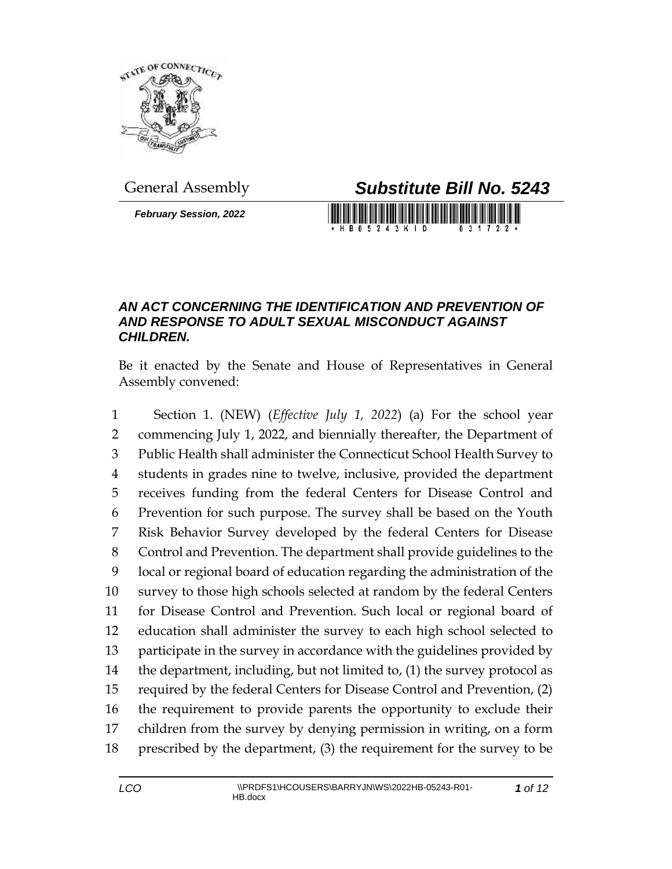

*February Session, 2022*

General Assembly *Substitute Bill No. 5243*

H B 0 5 2 4 3 K I D

## *AN ACT CONCERNING THE IDENTIFICATION AND PREVENTION OF AND RESPONSE TO ADULT SEXUAL MISCONDUCT AGAINST CHILDREN.*

Be it enacted by the Senate and House of Representatives in General Assembly convened:

 Section 1. (NEW) (*Effective July 1, 2022*) (a) For the school year commencing July 1, 2022, and biennially thereafter, the Department of Public Health shall administer the Connecticut School Health Survey to students in grades nine to twelve, inclusive, provided the department receives funding from the federal Centers for Disease Control and Prevention for such purpose. The survey shall be based on the Youth Risk Behavior Survey developed by the federal Centers for Disease Control and Prevention. The department shall provide guidelines to the local or regional board of education regarding the administration of the survey to those high schools selected at random by the federal Centers for Disease Control and Prevention. Such local or regional board of education shall administer the survey to each high school selected to participate in the survey in accordance with the guidelines provided by the department, including, but not limited to, (1) the survey protocol as required by the federal Centers for Disease Control and Prevention, (2) the requirement to provide parents the opportunity to exclude their children from the survey by denying permission in writing, on a form prescribed by the department, (3) the requirement for the survey to be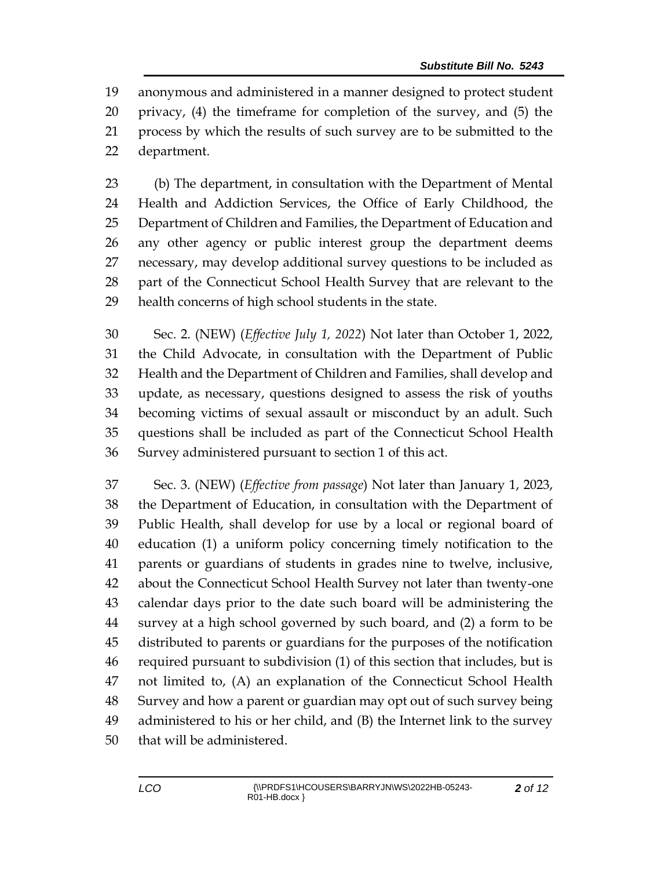anonymous and administered in a manner designed to protect student privacy, (4) the timeframe for completion of the survey, and (5) the process by which the results of such survey are to be submitted to the department.

 (b) The department, in consultation with the Department of Mental Health and Addiction Services, the Office of Early Childhood, the Department of Children and Families, the Department of Education and any other agency or public interest group the department deems necessary, may develop additional survey questions to be included as part of the Connecticut School Health Survey that are relevant to the health concerns of high school students in the state.

 Sec. 2. (NEW) (*Effective July 1, 2022*) Not later than October 1, 2022, the Child Advocate, in consultation with the Department of Public Health and the Department of Children and Families, shall develop and update, as necessary, questions designed to assess the risk of youths becoming victims of sexual assault or misconduct by an adult. Such questions shall be included as part of the Connecticut School Health Survey administered pursuant to section 1 of this act.

 Sec. 3. (NEW) (*Effective from passage*) Not later than January 1, 2023, the Department of Education, in consultation with the Department of Public Health, shall develop for use by a local or regional board of education (1) a uniform policy concerning timely notification to the parents or guardians of students in grades nine to twelve, inclusive, about the Connecticut School Health Survey not later than twenty-one calendar days prior to the date such board will be administering the survey at a high school governed by such board, and (2) a form to be distributed to parents or guardians for the purposes of the notification required pursuant to subdivision (1) of this section that includes, but is not limited to, (A) an explanation of the Connecticut School Health Survey and how a parent or guardian may opt out of such survey being administered to his or her child, and (B) the Internet link to the survey that will be administered.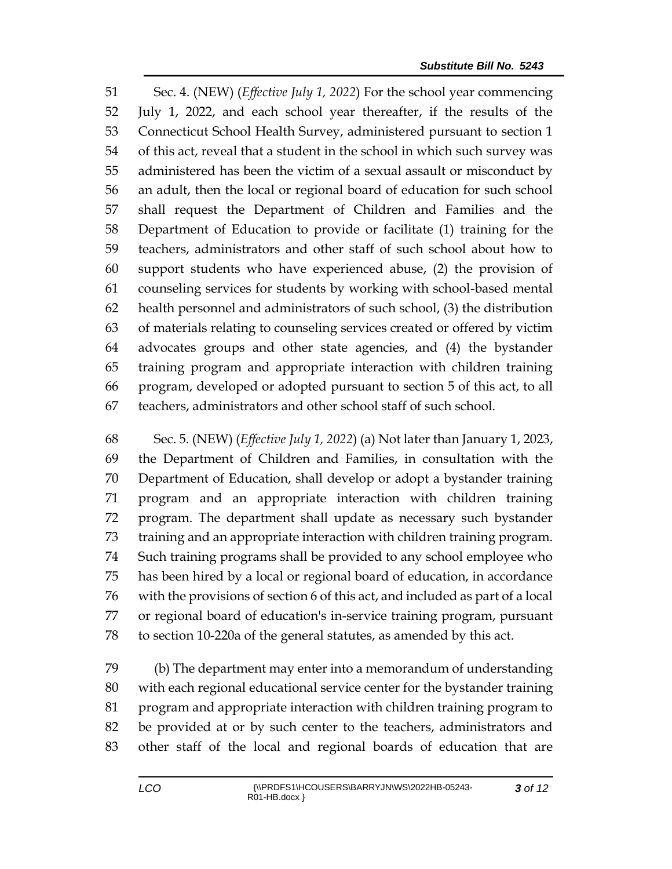Sec. 4. (NEW) (*Effective July 1, 2022*) For the school year commencing July 1, 2022, and each school year thereafter, if the results of the Connecticut School Health Survey, administered pursuant to section 1 of this act, reveal that a student in the school in which such survey was administered has been the victim of a sexual assault or misconduct by an adult, then the local or regional board of education for such school shall request the Department of Children and Families and the Department of Education to provide or facilitate (1) training for the teachers, administrators and other staff of such school about how to support students who have experienced abuse, (2) the provision of counseling services for students by working with school-based mental health personnel and administrators of such school, (3) the distribution of materials relating to counseling services created or offered by victim advocates groups and other state agencies, and (4) the bystander training program and appropriate interaction with children training program, developed or adopted pursuant to section 5 of this act, to all teachers, administrators and other school staff of such school.

 Sec. 5. (NEW) (*Effective July 1, 2022*) (a) Not later than January 1, 2023, the Department of Children and Families, in consultation with the Department of Education, shall develop or adopt a bystander training program and an appropriate interaction with children training program. The department shall update as necessary such bystander training and an appropriate interaction with children training program. Such training programs shall be provided to any school employee who has been hired by a local or regional board of education, in accordance with the provisions of section 6 of this act, and included as part of a local or regional board of education's in-service training program, pursuant to section 10-220a of the general statutes, as amended by this act.

 (b) The department may enter into a memorandum of understanding with each regional educational service center for the bystander training program and appropriate interaction with children training program to be provided at or by such center to the teachers, administrators and other staff of the local and regional boards of education that are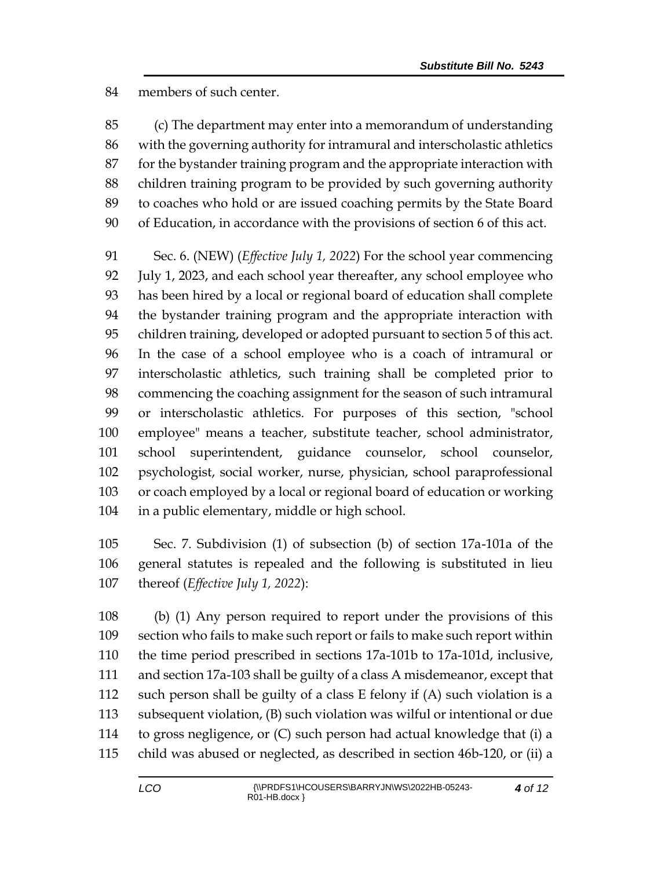members of such center.

 (c) The department may enter into a memorandum of understanding with the governing authority for intramural and interscholastic athletics for the bystander training program and the appropriate interaction with children training program to be provided by such governing authority to coaches who hold or are issued coaching permits by the State Board of Education, in accordance with the provisions of section 6 of this act.

 Sec. 6. (NEW) (*Effective July 1, 2022*) For the school year commencing July 1, 2023, and each school year thereafter, any school employee who has been hired by a local or regional board of education shall complete the bystander training program and the appropriate interaction with children training, developed or adopted pursuant to section 5 of this act. In the case of a school employee who is a coach of intramural or interscholastic athletics, such training shall be completed prior to commencing the coaching assignment for the season of such intramural or interscholastic athletics. For purposes of this section, "school employee" means a teacher, substitute teacher, school administrator, school superintendent, guidance counselor, school counselor, psychologist, social worker, nurse, physician, school paraprofessional or coach employed by a local or regional board of education or working in a public elementary, middle or high school.

 Sec. 7. Subdivision (1) of subsection (b) of section 17a-101a of the general statutes is repealed and the following is substituted in lieu thereof (*Effective July 1, 2022*):

 (b) (1) Any person required to report under the provisions of this section who fails to make such report or fails to make such report within the time period prescribed in sections 17a-101b to 17a-101d, inclusive, and section 17a-103 shall be guilty of a class A misdemeanor, except that such person shall be guilty of a class E felony if (A) such violation is a subsequent violation, (B) such violation was wilful or intentional or due to gross negligence, or (C) such person had actual knowledge that (i) a child was abused or neglected, as described in section 46b-120, or (ii) a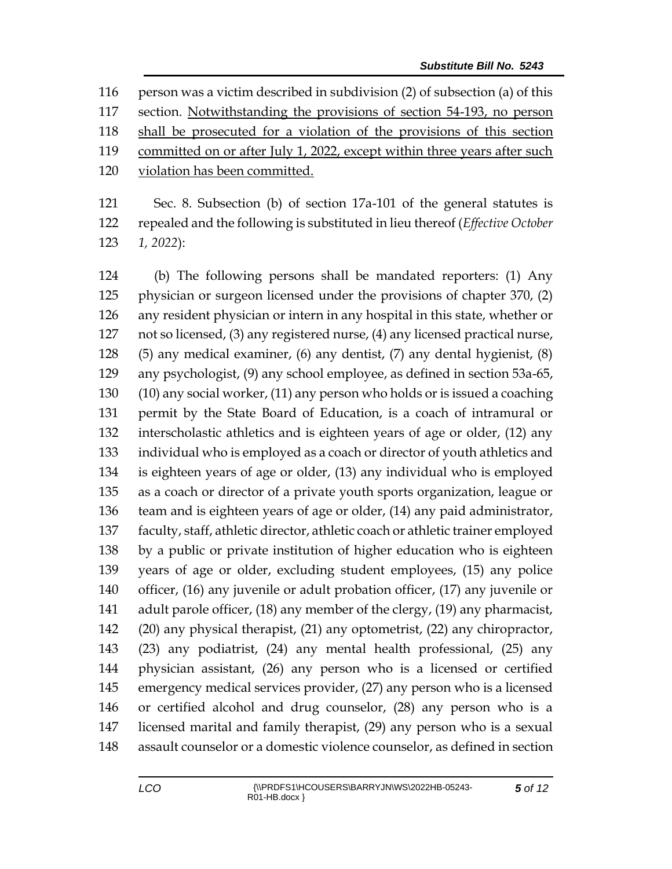person was a victim described in subdivision (2) of subsection (a) of this section. Notwithstanding the provisions of section 54-193, no person shall be prosecuted for a violation of the provisions of this section 119 committed on or after July 1, 2022, except within three years after such violation has been committed.

 Sec. 8. Subsection (b) of section 17a-101 of the general statutes is repealed and the following is substituted in lieu thereof (*Effective October 1, 2022*):

 (b) The following persons shall be mandated reporters: (1) Any physician or surgeon licensed under the provisions of chapter 370, (2) any resident physician or intern in any hospital in this state, whether or not so licensed, (3) any registered nurse, (4) any licensed practical nurse, (5) any medical examiner, (6) any dentist, (7) any dental hygienist, (8) any psychologist, (9) any school employee, as defined in section 53a-65, (10) any social worker, (11) any person who holds or is issued a coaching permit by the State Board of Education, is a coach of intramural or interscholastic athletics and is eighteen years of age or older, (12) any individual who is employed as a coach or director of youth athletics and is eighteen years of age or older, (13) any individual who is employed as a coach or director of a private youth sports organization, league or team and is eighteen years of age or older, (14) any paid administrator, faculty, staff, athletic director, athletic coach or athletic trainer employed by a public or private institution of higher education who is eighteen years of age or older, excluding student employees, (15) any police officer, (16) any juvenile or adult probation officer, (17) any juvenile or 141 adult parole officer, (18) any member of the clergy, (19) any pharmacist, (20) any physical therapist, (21) any optometrist, (22) any chiropractor, (23) any podiatrist, (24) any mental health professional, (25) any physician assistant, (26) any person who is a licensed or certified emergency medical services provider, (27) any person who is a licensed or certified alcohol and drug counselor, (28) any person who is a licensed marital and family therapist, (29) any person who is a sexual assault counselor or a domestic violence counselor, as defined in section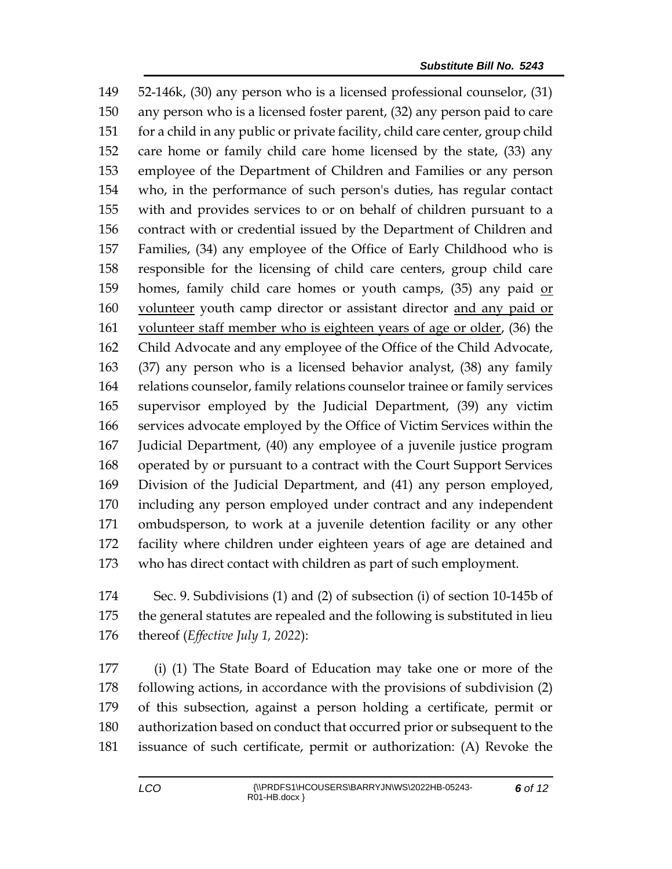52-146k, (30) any person who is a licensed professional counselor, (31) any person who is a licensed foster parent, (32) any person paid to care for a child in any public or private facility, child care center, group child care home or family child care home licensed by the state, (33) any employee of the Department of Children and Families or any person who, in the performance of such person's duties, has regular contact with and provides services to or on behalf of children pursuant to a contract with or credential issued by the Department of Children and Families, (34) any employee of the Office of Early Childhood who is responsible for the licensing of child care centers, group child care 159 homes, family child care homes or youth camps, (35) any paid or volunteer youth camp director or assistant director and any paid or 161 volunteer staff member who is eighteen years of age or older, (36) the Child Advocate and any employee of the Office of the Child Advocate, (37) any person who is a licensed behavior analyst, (38) any family relations counselor, family relations counselor trainee or family services supervisor employed by the Judicial Department, (39) any victim services advocate employed by the Office of Victim Services within the Judicial Department, (40) any employee of a juvenile justice program operated by or pursuant to a contract with the Court Support Services Division of the Judicial Department, and (41) any person employed, including any person employed under contract and any independent ombudsperson, to work at a juvenile detention facility or any other facility where children under eighteen years of age are detained and who has direct contact with children as part of such employment.

 Sec. 9. Subdivisions (1) and (2) of subsection (i) of section 10-145b of the general statutes are repealed and the following is substituted in lieu thereof (*Effective July 1, 2022*):

 (i) (1) The State Board of Education may take one or more of the following actions, in accordance with the provisions of subdivision (2) of this subsection, against a person holding a certificate, permit or authorization based on conduct that occurred prior or subsequent to the issuance of such certificate, permit or authorization: (A) Revoke the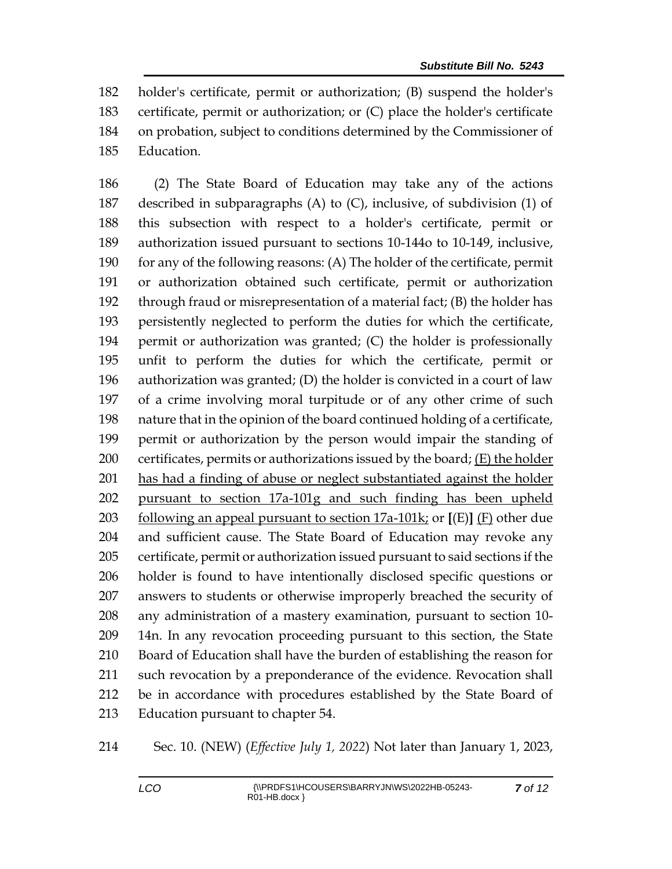holder's certificate, permit or authorization; (B) suspend the holder's certificate, permit or authorization; or (C) place the holder's certificate on probation, subject to conditions determined by the Commissioner of Education.

 (2) The State Board of Education may take any of the actions described in subparagraphs (A) to (C), inclusive, of subdivision (1) of this subsection with respect to a holder's certificate, permit or authorization issued pursuant to sections 10-144o to 10-149, inclusive, for any of the following reasons: (A) The holder of the certificate, permit or authorization obtained such certificate, permit or authorization through fraud or misrepresentation of a material fact; (B) the holder has persistently neglected to perform the duties for which the certificate, permit or authorization was granted; (C) the holder is professionally unfit to perform the duties for which the certificate, permit or authorization was granted; (D) the holder is convicted in a court of law of a crime involving moral turpitude or of any other crime of such nature that in the opinion of the board continued holding of a certificate, permit or authorization by the person would impair the standing of certificates, permits or authorizations issued by the board; (E) the holder 201 has had a finding of abuse or neglect substantiated against the holder pursuant to section 17a-101g and such finding has been upheld following an appeal pursuant to section 17a-101k; or **[**(E)**]** (F) other due and sufficient cause. The State Board of Education may revoke any certificate, permit or authorization issued pursuant to said sections if the holder is found to have intentionally disclosed specific questions or answers to students or otherwise improperly breached the security of any administration of a mastery examination, pursuant to section 10- 14n. In any revocation proceeding pursuant to this section, the State Board of Education shall have the burden of establishing the reason for such revocation by a preponderance of the evidence. Revocation shall be in accordance with procedures established by the State Board of Education pursuant to chapter 54.

Sec. 10. (NEW) (*Effective July 1, 2022*) Not later than January 1, 2023,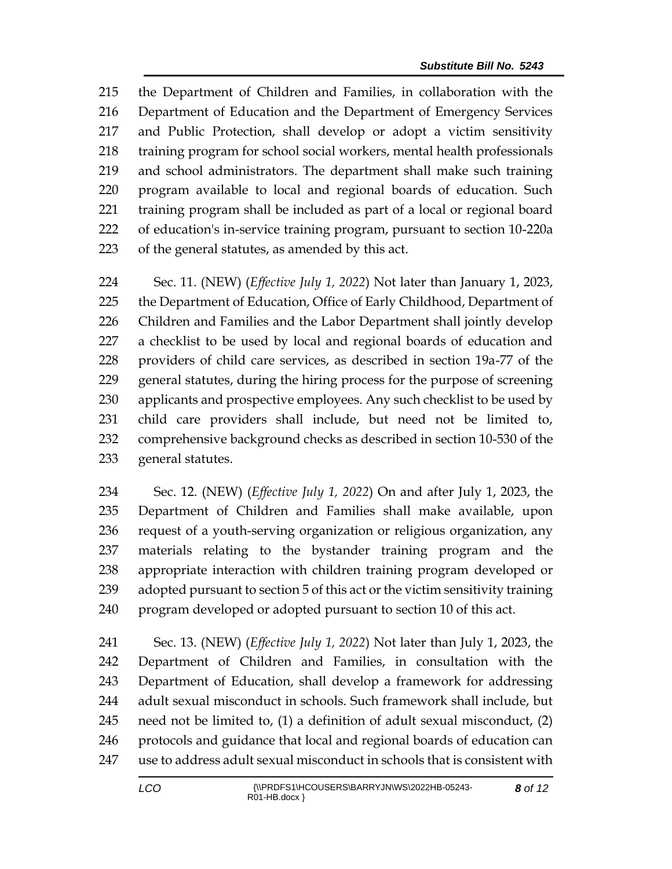the Department of Children and Families, in collaboration with the Department of Education and the Department of Emergency Services and Public Protection, shall develop or adopt a victim sensitivity training program for school social workers, mental health professionals and school administrators. The department shall make such training program available to local and regional boards of education. Such training program shall be included as part of a local or regional board of education's in-service training program, pursuant to section 10-220a of the general statutes, as amended by this act.

 Sec. 11. (NEW) (*Effective July 1, 2022*) Not later than January 1, 2023, 225 the Department of Education, Office of Early Childhood, Department of Children and Families and the Labor Department shall jointly develop a checklist to be used by local and regional boards of education and providers of child care services, as described in section 19a-77 of the general statutes, during the hiring process for the purpose of screening 230 applicants and prospective employees. Any such checklist to be used by child care providers shall include, but need not be limited to, comprehensive background checks as described in section 10-530 of the general statutes.

 Sec. 12. (NEW) (*Effective July 1, 2022*) On and after July 1, 2023, the Department of Children and Families shall make available, upon request of a youth-serving organization or religious organization, any materials relating to the bystander training program and the appropriate interaction with children training program developed or adopted pursuant to section 5 of this act or the victim sensitivity training program developed or adopted pursuant to section 10 of this act.

 Sec. 13. (NEW) (*Effective July 1, 2022*) Not later than July 1, 2023, the Department of Children and Families, in consultation with the Department of Education, shall develop a framework for addressing adult sexual misconduct in schools. Such framework shall include, but need not be limited to, (1) a definition of adult sexual misconduct, (2) 246 protocols and guidance that local and regional boards of education can use to address adult sexual misconduct in schools that is consistent with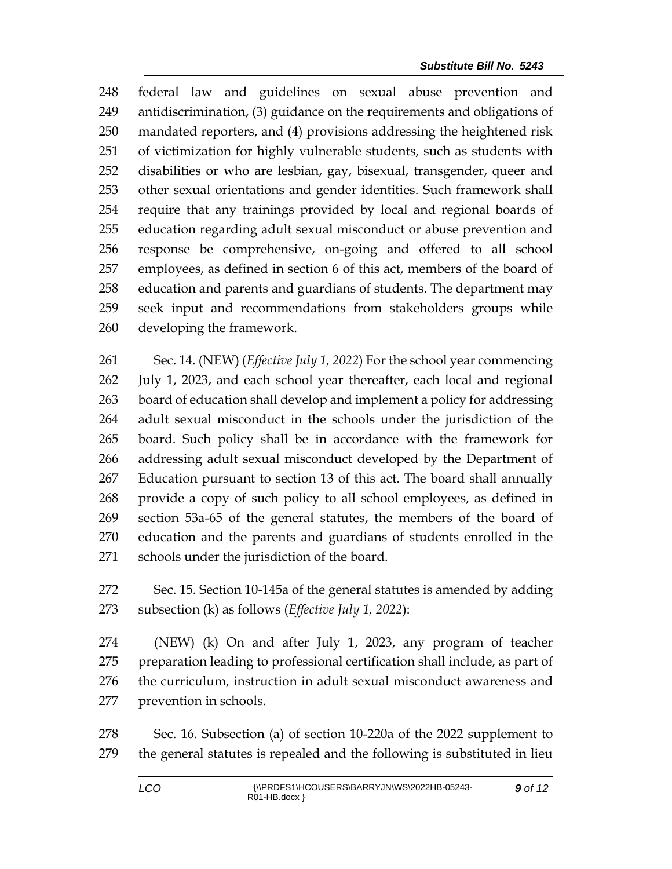federal law and guidelines on sexual abuse prevention and antidiscrimination, (3) guidance on the requirements and obligations of mandated reporters, and (4) provisions addressing the heightened risk of victimization for highly vulnerable students, such as students with disabilities or who are lesbian, gay, bisexual, transgender, queer and other sexual orientations and gender identities. Such framework shall require that any trainings provided by local and regional boards of education regarding adult sexual misconduct or abuse prevention and response be comprehensive, on-going and offered to all school employees, as defined in section 6 of this act, members of the board of education and parents and guardians of students. The department may seek input and recommendations from stakeholders groups while developing the framework.

 Sec. 14. (NEW) (*Effective July 1, 2022*) For the school year commencing July 1, 2023, and each school year thereafter, each local and regional board of education shall develop and implement a policy for addressing adult sexual misconduct in the schools under the jurisdiction of the board. Such policy shall be in accordance with the framework for addressing adult sexual misconduct developed by the Department of Education pursuant to section 13 of this act. The board shall annually provide a copy of such policy to all school employees, as defined in section 53a-65 of the general statutes, the members of the board of education and the parents and guardians of students enrolled in the schools under the jurisdiction of the board.

 Sec. 15. Section 10-145a of the general statutes is amended by adding subsection (k) as follows (*Effective July 1, 2022*):

 (NEW) (k) On and after July 1, 2023, any program of teacher preparation leading to professional certification shall include, as part of the curriculum, instruction in adult sexual misconduct awareness and prevention in schools.

 Sec. 16. Subsection (a) of section 10-220a of the 2022 supplement to the general statutes is repealed and the following is substituted in lieu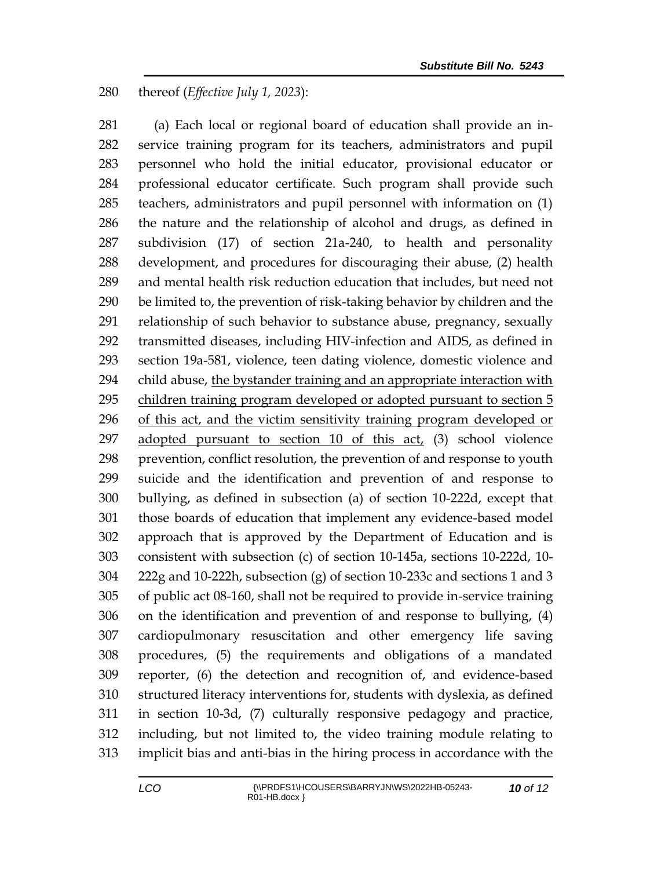thereof (*Effective July 1, 2023*):

 (a) Each local or regional board of education shall provide an in- service training program for its teachers, administrators and pupil personnel who hold the initial educator, provisional educator or professional educator certificate. Such program shall provide such teachers, administrators and pupil personnel with information on (1) the nature and the relationship of alcohol and drugs, as defined in subdivision (17) of section 21a-240, to health and personality development, and procedures for discouraging their abuse, (2) health and mental health risk reduction education that includes, but need not be limited to, the prevention of risk-taking behavior by children and the relationship of such behavior to substance abuse, pregnancy, sexually transmitted diseases, including HIV-infection and AIDS, as defined in section 19a-581, violence, teen dating violence, domestic violence and child abuse, the bystander training and an appropriate interaction with children training program developed or adopted pursuant to section 5 of this act, and the victim sensitivity training program developed or 297 adopted pursuant to section 10 of this act, (3) school violence prevention, conflict resolution, the prevention of and response to youth suicide and the identification and prevention of and response to bullying, as defined in subsection (a) of section 10-222d, except that those boards of education that implement any evidence-based model approach that is approved by the Department of Education and is consistent with subsection (c) of section 10-145a, sections 10-222d, 10- 222g and 10-222h, subsection (g) of section 10-233c and sections 1 and 3 of public act 08-160, shall not be required to provide in-service training on the identification and prevention of and response to bullying, (4) cardiopulmonary resuscitation and other emergency life saving procedures, (5) the requirements and obligations of a mandated reporter, (6) the detection and recognition of, and evidence-based structured literacy interventions for, students with dyslexia, as defined in section 10-3d, (7) culturally responsive pedagogy and practice, including, but not limited to, the video training module relating to implicit bias and anti-bias in the hiring process in accordance with the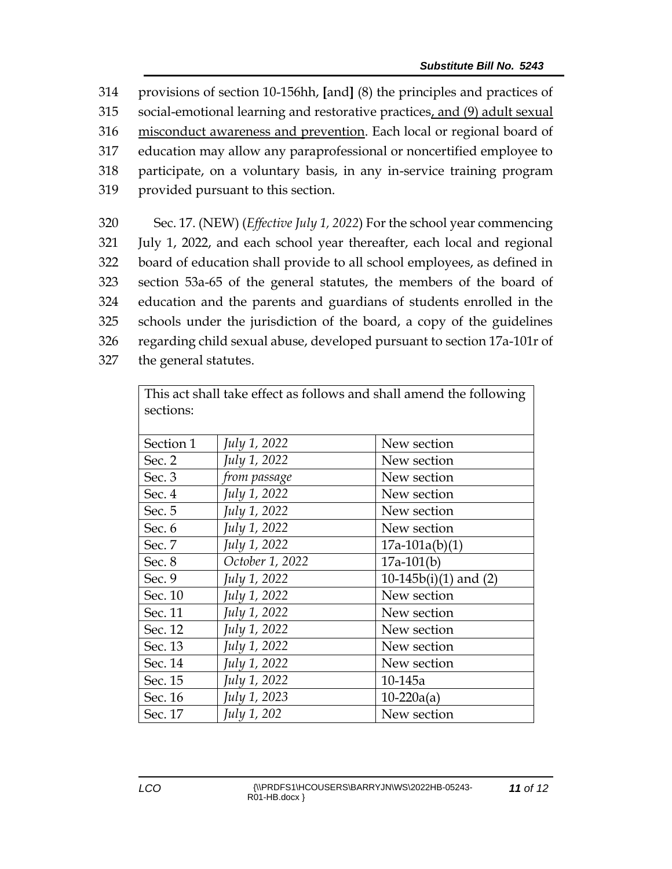provisions of section 10-156hh, **[**and**]** (8) the principles and practices of social-emotional learning and restorative practices, and (9) adult sexual misconduct awareness and prevention. Each local or regional board of education may allow any paraprofessional or noncertified employee to participate, on a voluntary basis, in any in-service training program provided pursuant to this section.

 Sec. 17. (NEW) (*Effective July 1, 2022*) For the school year commencing July 1, 2022, and each school year thereafter, each local and regional board of education shall provide to all school employees, as defined in section 53a-65 of the general statutes, the members of the board of education and the parents and guardians of students enrolled in the schools under the jurisdiction of the board, a copy of the guidelines regarding child sexual abuse, developed pursuant to section 17a-101r of the general statutes.

| This act shall take effect as follows and shall amend the following |                 |                          |
|---------------------------------------------------------------------|-----------------|--------------------------|
| sections:                                                           |                 |                          |
|                                                                     |                 |                          |
| Section 1                                                           | July 1, 2022    | New section              |
| Sec. 2                                                              | July 1, 2022    | New section              |
| Sec. 3                                                              | from passage    | New section              |
| Sec. 4                                                              | July 1, 2022    | New section              |
| Sec. 5                                                              | July 1, 2022    | New section              |
| Sec. 6                                                              | July 1, 2022    | New section              |
| Sec. 7                                                              | July 1, 2022    | $17a-101a(b)(1)$         |
| Sec. 8                                                              | October 1, 2022 | $17a-101(b)$             |
| Sec. 9                                                              | July 1, 2022    | 10-145 $b(i)(1)$ and (2) |
| Sec. 10                                                             | July 1, 2022    | New section              |
| Sec. 11                                                             | July 1, 2022    | New section              |
| Sec. 12                                                             | July 1, 2022    | New section              |
| Sec. 13                                                             | July 1, 2022    | New section              |
| Sec. 14                                                             | July 1, 2022    | New section              |
| Sec. 15                                                             | July 1, 2022    | 10-145a                  |
| Sec. 16                                                             | July 1, 2023    | $10-220a(a)$             |
| Sec. 17                                                             | July 1, 202     | New section              |